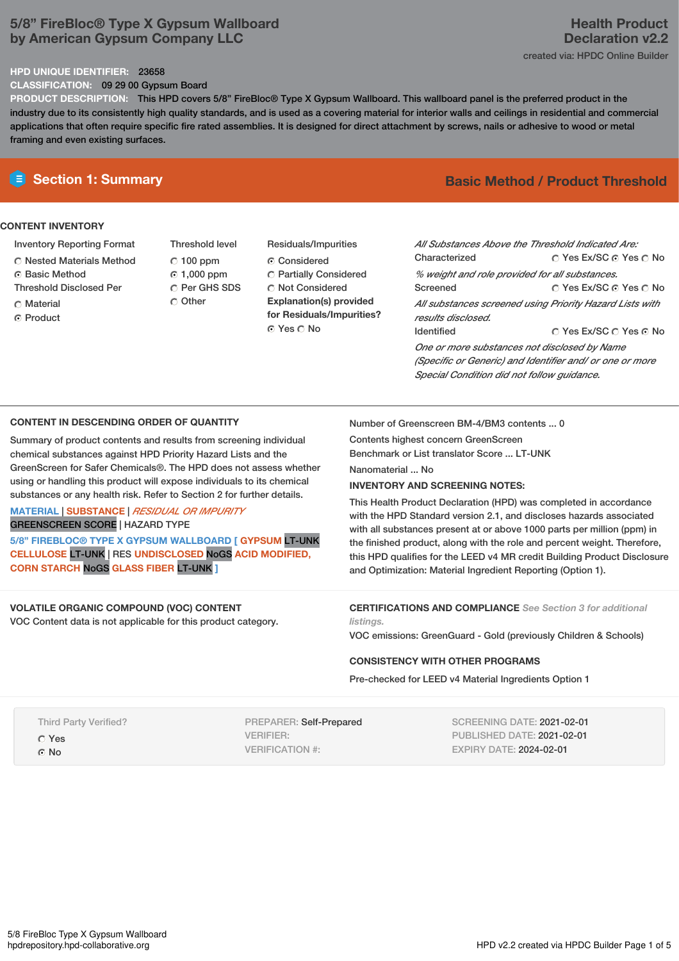# **5/8" FireBloc® Type X Gypsum Wallboard by American Gypsum Company LLC**

# **Health Product Declaration v2.2** created via: HPDC Online Builder

#### **HPD UNIQUE IDENTIFIER:** 23658

**CLASSIFICATION:** 09 29 00 Gypsum Board

**PRODUCT DESCRIPTION:** This HPD covers 5/8" FireBloc® Type X Gypsum Wallboard. This wallboard panel is the preferred product in the industry due to its consistently high quality standards, and is used as a covering material for interior walls and ceilings in residential and commercial applications that often require specific fire rated assemblies. It is designed for direct attachment by screws, nails or adhesive to wood or metal framing and even existing surfaces.

## **CONTENT INVENTORY**

- Inventory Reporting Format
- $\bigcirc$  Nested Materials Method
- **G** Basic Method
- Threshold Disclosed Per
- **C** Material
- ⊙ Product
- Threshold level  $C$  100 ppm 1,000 ppm C Per GHS SDS C Other
- Residuals/Impurities Considered Partially Considered C Not Considered **Explanation(s) provided for Residuals/Impurities?** ⊙ Yes O No

# **E** Section 1: Summary **Basic Method /** Product Threshold

© Yes Ex/SC ⊙ Yes O No © Yes Ex/SC ⊙ Yes ⊙ No © Yes Ex/SC © Yes © No *All Substances Above the Threshold Indicated Are:* Characterized *% weight and role provided for all substances.* Screened *All substances screened using Priority Hazard Lists with results disclosed.* Identified *One or more substances not disclosed by Name (Specific or Generic) and Identifier and/ or one or more Special Condition did not follow guidance.*

## **CONTENT IN DESCENDING ORDER OF QUANTITY**

Summary of product contents and results from screening individual chemical substances against HPD Priority Hazard Lists and the GreenScreen for Safer Chemicals®. The HPD does not assess whether using or handling this product will expose individuals to its chemical substances or any health risk. Refer to Section 2 for further details.

## **MATERIAL** | **SUBSTANCE** | *RESIDUAL OR IMPURITY* GREENSCREEN SCORE | HAZARD TYPE

**5/8" FIREBLOC® TYPE X GYPSUM WALLBOARD [ GYPSUM** LT-UNK **CELLULOSE** LT-UNK | RES **UNDISCLOSED** NoGS **ACID MODIFIED, CORN STARCH** NoGS **GLASS FIBER** LT-UNK **]**

# **VOLATILE ORGANIC COMPOUND (VOC) CONTENT**

VOC Content data is not applicable for this product category.

Number of Greenscreen BM-4/BM3 contents ... 0

Contents highest concern GreenScreen Benchmark or List translator Score ... LT-UNK

Nanomaterial ... No

## **INVENTORY AND SCREENING NOTES:**

This Health Product Declaration (HPD) was completed in accordance with the HPD Standard version 2.1, and discloses hazards associated with all substances present at or above 1000 parts per million (ppm) in the finished product, along with the role and percent weight. Therefore, this HPD qualifies for the LEED v4 MR credit Building Product Disclosure and Optimization: Material Ingredient Reporting (Option 1).

**CERTIFICATIONS AND COMPLIANCE** *See Section 3 for additional listings.*

VOC emissions: GreenGuard - Gold (previously Children & Schools)

## **CONSISTENCY WITH OTHER PROGRAMS**

Pre-checked for LEED v4 Material Ingredients Option 1

|             | <b>Third Party Verified?</b> |  |
|-------------|------------------------------|--|
| $\circ$ Yes |                              |  |

G<sub>No</sub>

PREPARER: Self-Prepared VERIFIER: VERIFICATION #:

SCREENING DATE: 2021-02-01 PUBLISHED DATE: 2021-02-01 EXPIRY DATE: 2024-02-01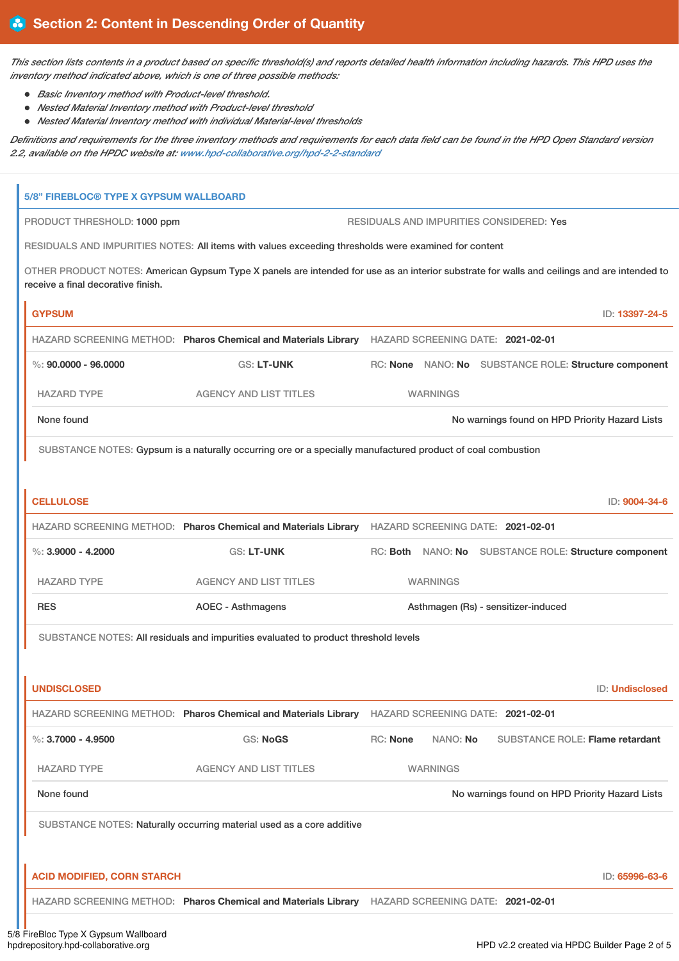This section lists contents in a product based on specific threshold(s) and reports detailed health information including hazards. This HPD uses the *inventory method indicated above, which is one of three possible methods:*

- *Basic Inventory method with Product-level threshold.*
- *Nested Material Inventory method with Product-level threshold*
- *Nested Material Inventory method with individual Material-level thresholds*

Definitions and requirements for the three inventory methods and requirements for each data field can be found in the HPD Open Standard version *2.2, available on the HPDC website at: [www.hpd-collaborative.org/hpd-2-2-standard](https://www.hpd-collaborative.org/hpd-2-2-standard)*

|                        | <b>5/8" FIREBLOC® TYPE X GYPSUM WALLBOARD</b>                                                                                                                                     |                                                                                                             |          |                 |                                     |                                                       |
|------------------------|-----------------------------------------------------------------------------------------------------------------------------------------------------------------------------------|-------------------------------------------------------------------------------------------------------------|----------|-----------------|-------------------------------------|-------------------------------------------------------|
|                        | RESIDUALS AND IMPURITIES CONSIDERED: Yes<br>PRODUCT THRESHOLD: 1000 ppm                                                                                                           |                                                                                                             |          |                 |                                     |                                                       |
|                        | RESIDUALS AND IMPURITIES NOTES: All items with values exceeding thresholds were examined for content                                                                              |                                                                                                             |          |                 |                                     |                                                       |
|                        | OTHER PRODUCT NOTES: American Gypsum Type X panels are intended for use as an interior substrate for walls and ceilings and are intended to<br>receive a final decorative finish. |                                                                                                             |          |                 |                                     |                                                       |
| <b>GYPSUM</b>          |                                                                                                                                                                                   |                                                                                                             |          |                 |                                     | ID: 13397-24-5                                        |
|                        |                                                                                                                                                                                   | HAZARD SCREENING METHOD: Pharos Chemical and Materials Library                                              |          |                 | HAZARD SCREENING DATE: 2021-02-01   |                                                       |
|                        | $\%$ : 90.0000 - 96.0000                                                                                                                                                          | <b>GS: LT-UNK</b>                                                                                           |          |                 |                                     | RC: None NANO: No SUBSTANCE ROLE: Structure component |
| <b>HAZARD TYPE</b>     |                                                                                                                                                                                   | <b>AGENCY AND LIST TITLES</b>                                                                               |          | <b>WARNINGS</b> |                                     |                                                       |
| None found             |                                                                                                                                                                                   |                                                                                                             |          |                 |                                     | No warnings found on HPD Priority Hazard Lists        |
|                        |                                                                                                                                                                                   | SUBSTANCE NOTES: Gypsum is a naturally occurring ore or a specially manufactured product of coal combustion |          |                 |                                     |                                                       |
|                        |                                                                                                                                                                                   |                                                                                                             |          |                 |                                     |                                                       |
| <b>CELLULOSE</b>       |                                                                                                                                                                                   |                                                                                                             |          |                 |                                     | ID: 9004-34-6                                         |
|                        |                                                                                                                                                                                   | HAZARD SCREENING METHOD: Pharos Chemical and Materials Library HAZARD SCREENING DATE: 2021-02-01            |          |                 |                                     |                                                       |
| $\%$ : 3.9000 - 4.2000 |                                                                                                                                                                                   | <b>GS: LT-UNK</b>                                                                                           |          |                 |                                     | RC: Both NANO: No SUBSTANCE ROLE: Structure component |
| <b>HAZARD TYPE</b>     |                                                                                                                                                                                   | <b>AGENCY AND LIST TITLES</b>                                                                               |          | <b>WARNINGS</b> |                                     |                                                       |
| <b>RES</b>             |                                                                                                                                                                                   | <b>AOEC - Asthmagens</b>                                                                                    |          |                 | Asthmagen (Rs) - sensitizer-induced |                                                       |
|                        | SUBSTANCE NOTES: All residuals and impurities evaluated to product threshold levels                                                                                               |                                                                                                             |          |                 |                                     |                                                       |
|                        |                                                                                                                                                                                   |                                                                                                             |          |                 |                                     |                                                       |
| <b>UNDISCLOSED</b>     |                                                                                                                                                                                   |                                                                                                             |          |                 |                                     | <b>ID: Undisclosed</b>                                |
|                        |                                                                                                                                                                                   | HAZARD SCREENING METHOD: Pharos Chemical and Materials Library HAZARD SCREENING DATE: 2021-02-01            |          |                 |                                     |                                                       |
| $\%$ : 3.7000 - 4.9500 |                                                                                                                                                                                   | <b>GS: NoGS</b>                                                                                             | RC: None | NANO: No        |                                     | <b>SUBSTANCE ROLE: Flame retardant</b>                |
| <b>HAZARD TYPE</b>     |                                                                                                                                                                                   | <b>AGENCY AND LIST TITLES</b>                                                                               |          | <b>WARNINGS</b> |                                     |                                                       |
| None found             |                                                                                                                                                                                   |                                                                                                             |          |                 |                                     | No warnings found on HPD Priority Hazard Lists        |
|                        |                                                                                                                                                                                   | SUBSTANCE NOTES: Naturally occurring material used as a core additive                                       |          |                 |                                     |                                                       |
|                        |                                                                                                                                                                                   |                                                                                                             |          |                 |                                     |                                                       |
|                        | <b>ACID MODIFIED, CORN STARCH</b>                                                                                                                                                 |                                                                                                             |          |                 |                                     | ID: 65996-63-6                                        |
|                        |                                                                                                                                                                                   | HAZARD SCREENING METHOD: Pharos Chemical and Materials Library HAZARD SCREENING DATE: 2021-02-01            |          |                 |                                     |                                                       |
|                        |                                                                                                                                                                                   |                                                                                                             |          |                 |                                     |                                                       |

5/8 FireBloc Type X Gypsum Wallboard<br>hpdrepository.hpd-collaborative.org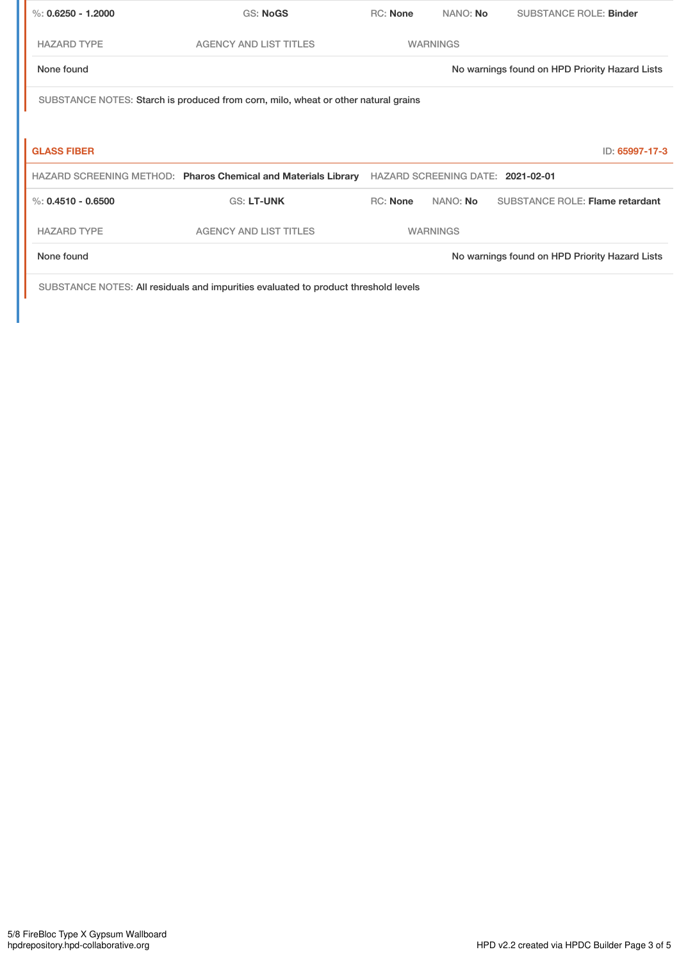| %: $0.6250 - 1.2000$                                                               | <b>GS: NoGS</b>                                                | <b>RC:</b> None | NANO: No        | <b>SUBSTANCE ROLE: Binder</b>                  |  |  |
|------------------------------------------------------------------------------------|----------------------------------------------------------------|-----------------|-----------------|------------------------------------------------|--|--|
| <b>HAZARD TYPE</b>                                                                 | <b>AGENCY AND LIST TITLES</b>                                  |                 | <b>WARNINGS</b> |                                                |  |  |
| None found                                                                         |                                                                |                 |                 | No warnings found on HPD Priority Hazard Lists |  |  |
| SUBSTANCE NOTES: Starch is produced from corn, milo, wheat or other natural grains |                                                                |                 |                 |                                                |  |  |
|                                                                                    |                                                                |                 |                 |                                                |  |  |
| <b>GLASS FIBER</b>                                                                 |                                                                |                 |                 | ID: 65997-17-3                                 |  |  |
|                                                                                    | HAZARD SCREENING METHOD: Pharos Chemical and Materials Library |                 |                 | HAZARD SCREENING DATE: 2021-02-01              |  |  |
| %: $0.4510 - 0.6500$                                                               | <b>GS: LT-UNK</b>                                              | <b>RC:</b> None | NANO: No        | <b>SUBSTANCE ROLE: Flame retardant</b>         |  |  |
| <b>HAZARD TYPE</b>                                                                 | <b>AGENCY AND LIST TITLES</b>                                  |                 | <b>WARNINGS</b> |                                                |  |  |
|                                                                                    |                                                                |                 |                 |                                                |  |  |

SUBSTANCE NOTES: All residuals and impurities evaluated to product threshold levels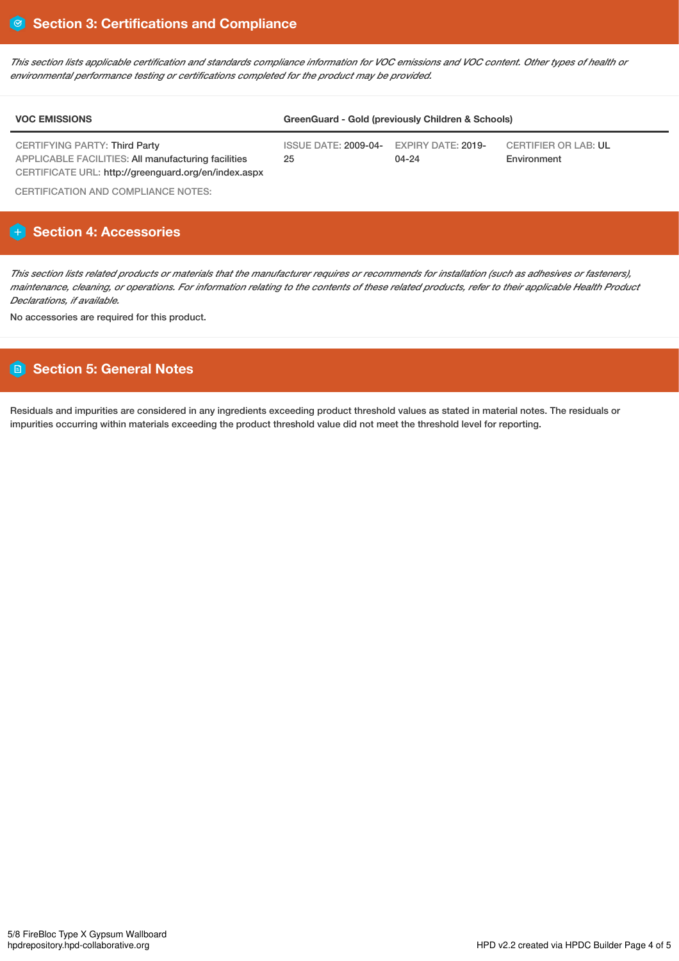This section lists applicable certification and standards compliance information for VOC emissions and VOC content. Other types of health or *environmental performance testing or certifications completed for the product may be provided.*

| <b>VOC EMISSIONS</b>                                                                        | GreenGuard - Gold (previously Children & Schools) |                                        |                                            |  |  |
|---------------------------------------------------------------------------------------------|---------------------------------------------------|----------------------------------------|--------------------------------------------|--|--|
| <b>CERTIFYING PARTY: Third Party</b><br>APPLICABLE FACILITIES: All manufacturing facilities | ISSUE DATE: 2009-04-<br>25                        | <b>EXPIRY DATE: 2019-</b><br>$04 - 24$ | <b>CERTIFIER OR LAB: UL</b><br>Environment |  |  |
| CERTIFICATE URL: http://greenguard.org/en/index.aspx                                        |                                                   |                                        |                                            |  |  |

CERTIFICATION AND COMPLIANCE NOTES:

# **Section 4: Accessories**

This section lists related products or materials that the manufacturer requires or recommends for installation (such as adhesives or fasteners), maintenance, cleaning, or operations. For information relating to the contents of these related products, refer to their applicable Health Product *Declarations, if available.*

No accessories are required for this product.

# **Section 5: General Notes**

Residuals and impurities are considered in any ingredients exceeding product threshold values as stated in material notes. The residuals or impurities occurring within materials exceeding the product threshold value did not meet the threshold level for reporting.